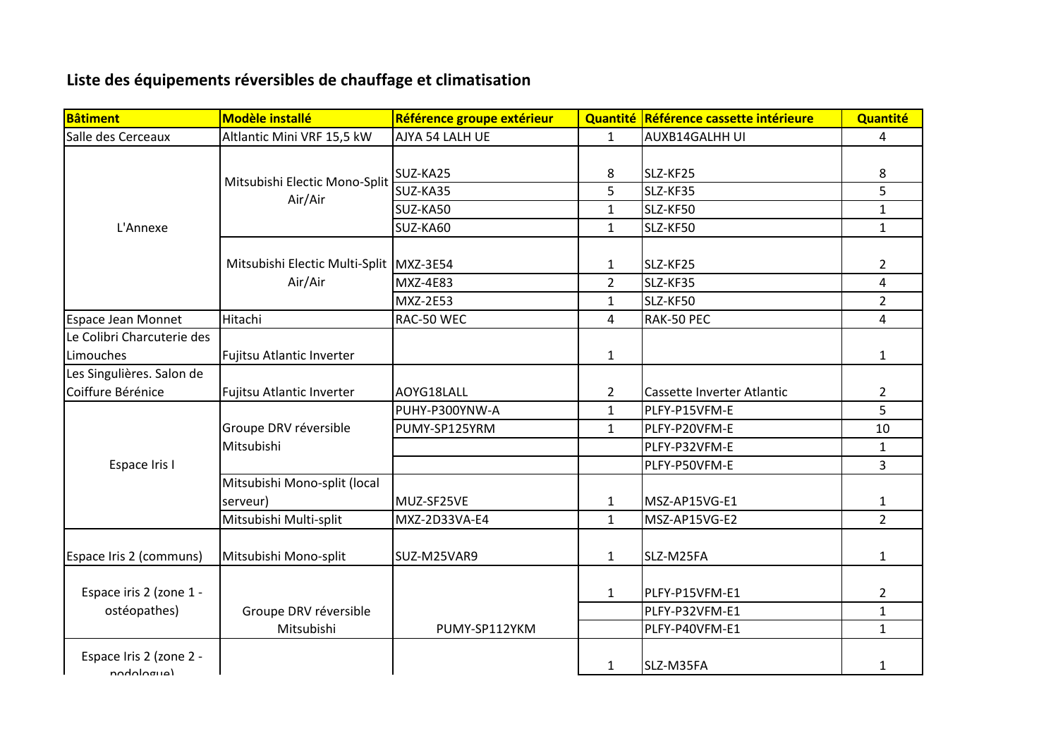## **Liste des équipements réversibles de chauffage et climatisation**

| <b>Bâtiment</b>                         | <b>Modèle installé</b>                    | Référence groupe extérieur |                | Quantité Référence cassette intérieure | Quantité       |
|-----------------------------------------|-------------------------------------------|----------------------------|----------------|----------------------------------------|----------------|
| Salle des Cerceaux                      | Altlantic Mini VRF 15,5 kW                | AJYA 54 LALH UE            | $\mathbf{1}$   | <b>AUXB14GALHH UI</b>                  | $\overline{a}$ |
| L'Annexe                                | Mitsubishi Electic Mono-Split<br>Air/Air  | SUZ-KA25                   | 8              | SLZ-KF25                               | 8              |
|                                         |                                           | SUZ-KA35                   | 5              | SLZ-KF35                               | 5              |
|                                         |                                           | SUZ-KA50                   | 1              | SLZ-KF50                               | $\mathbf{1}$   |
|                                         |                                           | SUZ-KA60                   | $\mathbf{1}$   | SLZ-KF50                               | $\mathbf{1}$   |
|                                         | Mitsubishi Electic Multi-Split<br>Air/Air | MXZ-3E54                   | 1              | SLZ-KF25                               | $\overline{2}$ |
|                                         |                                           | <b>MXZ-4E83</b>            | $\overline{2}$ | SLZ-KF35                               | $\overline{4}$ |
|                                         |                                           | <b>MXZ-2E53</b>            | 1              | SLZ-KF50                               | $\overline{2}$ |
| <b>Espace Jean Monnet</b>               | Hitachi                                   | RAC-50 WEC                 | 4              | RAK-50 PEC                             | 4              |
| Le Colibri Charcuterie des<br>Limouches | Fujitsu Atlantic Inverter                 |                            | $\mathbf{1}$   |                                        | $\mathbf{1}$   |
| Les Singulières. Salon de               |                                           |                            |                |                                        |                |
| Coiffure Bérénice                       | Fujitsu Atlantic Inverter                 | AOYG18LALL                 | $\overline{2}$ | Cassette Inverter Atlantic             | $\overline{2}$ |
| Espace Iris I                           |                                           | PUHY-P300YNW-A             | 1              | PLFY-P15VFM-E                          | 5              |
|                                         | Groupe DRV réversible                     | PUMY-SP125YRM              | $\mathbf{1}$   | PLFY-P20VFM-E                          | 10             |
|                                         | Mitsubishi                                |                            |                | PLFY-P32VFM-E                          | $\mathbf{1}$   |
|                                         |                                           |                            |                | PLFY-P50VFM-E                          | $\overline{3}$ |
|                                         | Mitsubishi Mono-split (local              |                            |                |                                        |                |
|                                         | serveur)                                  | MUZ-SF25VE                 | 1              | MSZ-AP15VG-E1                          | $\mathbf{1}$   |
|                                         | Mitsubishi Multi-split                    | MXZ-2D33VA-E4              | $\mathbf{1}$   | MSZ-AP15VG-E2                          | $\overline{2}$ |
| Espace Iris 2 (communs)                 | Mitsubishi Mono-split                     | SUZ-M25VAR9                | $\mathbf{1}$   | SLZ-M25FA                              | $\mathbf{1}$   |
| Espace iris 2 (zone 1 -<br>ostéopathes) |                                           |                            | $\mathbf{1}$   | PLFY-P15VFM-E1                         | $\overline{2}$ |
|                                         | Groupe DRV réversible                     |                            |                | PLFY-P32VFM-E1                         | $\mathbf{1}$   |
|                                         | Mitsubishi                                | PUMY-SP112YKM              |                | PLFY-P40VFM-E1                         | $\mathbf{1}$   |
| Espace Iris 2 (zone 2 -<br>(Aupolobon   |                                           |                            | $\mathbf{1}$   | SLZ-M35FA                              | $\mathbf{1}$   |